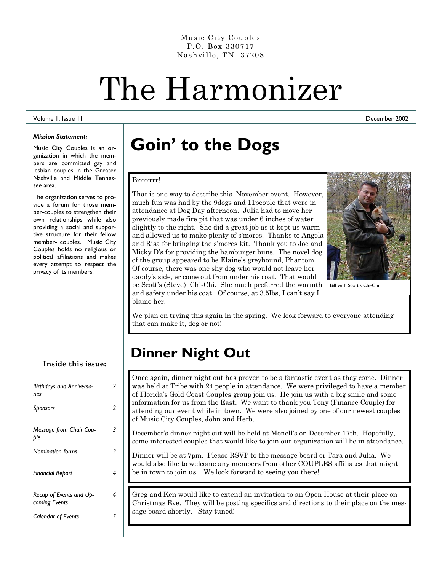Music City Couples P.O. Box 330717 Nashville, TN 37208

# The Harmonizer

### Volume 1, Issue 11

### *Mission Statement:*

Music City Couples is an organization in which the members are committed gay and lesbian couples in the Greater Nashville and Middle Tennessee area.

The organization serves to provide a forum for those member-couples to strengthen their own relationships while also providing a social and supportive structure for their fellow member- couples. Music City Couples holds no religious or political affiliations and makes every attempt to respect the privacy of its members.

**Inside this issue:** 

| <b>Birthdays and Anniversa-</b><br>ries  | 2 |
|------------------------------------------|---|
| Sponsors                                 | 2 |
| Message from Chair Cou-<br>ble           | 3 |
| <b>Nomination forms</b>                  | 3 |
| <b>Financial Report</b>                  | 4 |
| Recap of Events and Up-<br>coming Events | 4 |
| <b>Calendar of Events</b>                | 5 |

### **Goin' to the Dogs**

### Brrrrrrr!

That is one way to describe this November event. However, much fun was had by the 9dogs and 11people that were in attendance at Dog Day afternoon. Julia had to move her previously made fire pit that was under 6 inches of water slightly to the right. She did a great job as it kept us warm and allowed us to make plenty of s'mores. Thanks to Angela and Risa for bringing the s'mores kit. Thank you to Joe and Micky D's for providing the hamburger buns. The novel dog of the group appeared to be Elaine's greyhound, Phantom. Of course, there was one shy dog who would not leave her daddy's side, er come out from under his coat. That would be Scott's (Steve) Chi-Chi. She much preferred the warmth



December 2002

Bill with Scott's Chi-Chi

and safety under his coat. Of course, at 3.5lbs, I can't say I blame her.

We plan on trying this again in the spring. We look forward to everyone attending that can make it, dog or not!

### **Dinner Night Out**

Once again, dinner night out has proven to be a fantastic event as they come. Dinner was held at Tribe with 24 people in attendance. We were privileged to have a member of Florida's Gold Coast Couples group join us. He join us with a big smile and some information for us from the East. We want to thank you Tony (Finance Couple) for attending our event while in town. We were also joined by one of our newest couples of Music City Couples, John and Herb.

December's dinner night out will be held at Monell's on December 17th. Hopefully, some interested couples that would like to join our organization will be in attendance.

Dinner will be at 7pm. Please RSVP to the message board or Tara and Julia. We would also like to welcome any members from other COUPLES affiliates that might be in town to join us . We look forward to seeing you there!

Greg and Ken would like to extend an invitation to an Open House at their place on Christmas Eve. They will be posting specifics and directions to their place on the message board shortly. Stay tuned!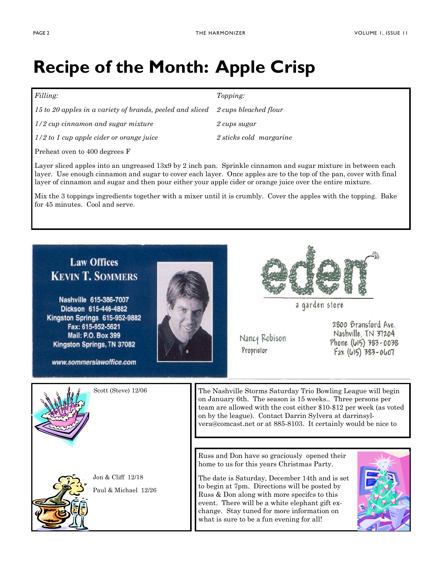### **Recipe of the Month: Apple Crisp**

| <i>Topping:</i>                                                                 |
|---------------------------------------------------------------------------------|
| 15 to 20 apples in a variety of brands, peeled and sliced 2 cups bleached flour |
| 2 cups sugar                                                                    |
| 2 sticks cold margarine                                                         |
|                                                                                 |

Preheat oven to 400 degrees F

Layer sliced apples into an ungreased 13x9 by 2 inch pan. Sprinkle cinnamon and sugar mixture in between each layer. Use enough cinnamon and sugar to cover each layer. Once apples are to the top of the pan, cover with final layer of cinnamon and sugar and then pour either your apple cider or orange juice over the entire mixture.

Mix the 3 toppings ingredients together with a mixer until it is crumbly. Cover the apples with the topping. Bake for 45 minutes. Cool and serve.

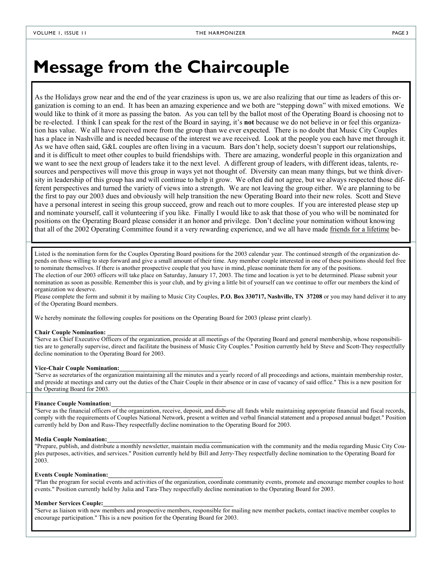### **Message from the Chaircouple**

As the Holidays grow near and the end of the year craziness is upon us, we are also realizing that our time as leaders of this organization is coming to an end. It has been an amazing experience and we both are "stepping down" with mixed emotions. We would like to think of it more as passing the baton. As you can tell by the ballot most of the Operating Board is choosing not to be re-elected. I think I can speak for the rest of the Board in saying, it's **not** because we do not believe in or feel this organization has value. We all have received more from the group than we ever expected. There is no doubt that Music City Couples has a place in Nashville and is needed because of the interest we ave received. Look at the people you each have met through it. As we have often said, G&L couples are often living in a vacuum. Bars don't help, society doesn't support our relationships, and it is difficult to meet other couples to build friendships with. There are amazing, wonderful people in this organization and we want to see the next group of leaders take it to the next level. A different group of leaders, with different ideas, talents, resources and perspectives will move this group in ways yet not thought of. Diversity can mean many things, but we think diversity in leadership of this group has and will continue to help it grow. We often did not agree, but we always respected those different perspectives and turned the variety of views into a strength. We are not leaving the group either. We are planning to be the first to pay our 2003 dues and obviously will help transition the new Operating Board into their new roles. Scott and Steve have a personal interest in seeing this group succeed, grow and reach out to more couples. If you are interested please step up and nominate yourself, call it volunteering if you like. Finally I would like to ask that those of you who will be nominated for positions on the Operating Board please consider it an honor and privilege. Don't decline your nomination without knowing that all of the 2002 Operating Committee found it a very rewarding experience, and we all have made friends for a lifetime be-

Listed is the nomination form for the Couples Operating Board positions for the 2003 calendar year. The continued strength of the organization depends on those willing to step forward and give a small amount of their time. Any member couple interested in one of these positions should feel free to nominate themselves. If there is another prospective couple that you have in mind, please nominate them for any of the positions.

The election of our 2003 officers will take place on Saturday, January 17, 2003. The time and location is yet to be determined. Please submit your nomination as soon as possible. Remember this is your club, and by giving a little bit of yourself can we continue to offer our members the kind of organization we deserve.

Please complete the form and submit it by mailing to Music City Couples, **P.O. Box 330717, Nashville, TN 37208** or you may hand deliver it to any of the Operating Board members.

We hereby nominate the following couples for positions on the Operating Board for 2003 (please print clearly).

#### **Chair Couple Nomination: \_\_\_\_\_\_\_\_\_\_\_\_\_\_\_\_\_\_\_\_\_\_\_\_\_\_\_\_\_\_\_\_\_\_\_\_\_**

"Serve as Chief Executive Officers of the organization, preside at all meetings of the Operating Board and general membership, whose responsibilities are to generally supervise, direct and facilitate the business of Music City Couples." Position currently held by Steve and Scott-They respectfully decline nomination to the Operating Board for 2003.

#### **Vice-Chair Couple Nomination:\_\_\_\_\_\_\_\_\_\_\_\_\_\_\_\_\_\_\_\_\_\_\_\_\_\_\_\_\_\_\_\_\_\_\_**

"Serve as secretaries of the organization maintaining all the minutes and a yearly record of all proceedings and actions, maintain membership roster, and preside at meetings and carry out the duties of the Chair Couple in their absence or in case of vacancy of said office." This is a new position for the Operating Board for 2003.

### **Finance Couple Nomination:\_\_\_\_\_\_\_\_\_\_\_\_\_\_\_\_\_\_\_\_\_\_\_\_\_\_\_\_\_\_\_\_\_\_\_\_\_**

"Serve as the financial officers of the organization, receive, deposit, and disburse all funds while maintaining appropriate financial and fiscal records, comply with the requirements of Couples National Network, present a written and verbal financial statement and a proposed annual budget." Position currently held by Don and Russ-They respectfully decline nomination to the Operating Board for 2003.

### **Media Couple Nomination:\_\_\_\_\_\_\_\_\_\_\_\_\_\_\_\_\_\_\_\_\_\_\_\_\_\_\_\_\_\_\_\_\_\_\_\_\_**

"Prepare, publish, and distribute a monthly newsletter, maintain media communication with the community and the media regarding Music City Couples purposes, activities, and services." Position currently held by Bill and Jerry-They respectfully decline nomination to the Operating Board for 2003.

#### **Events Couple Nomination:\_\_\_\_\_\_\_\_\_\_\_\_\_\_\_\_\_\_\_\_\_\_\_\_\_\_\_\_\_\_\_\_\_\_\_\_\_**

"Plan the program for social events and activities of the organization, coordinate community events, promote and encourage member couples to host events." Position currently held by Julia and Tara-They respectfully decline nomination to the Operating Board for 2003.

### **Member Services Couple:\_\_\_\_\_\_\_\_\_\_\_\_\_\_\_\_\_\_\_\_\_\_\_\_\_\_\_\_\_\_\_\_\_\_\_\_\_\_\_\_\_\_**

"Serve as liaison with new members and prospective members, responsible for mailing new member packets, contact inactive member couples to encourage participation." This is a new position for the Operating Board for 2003.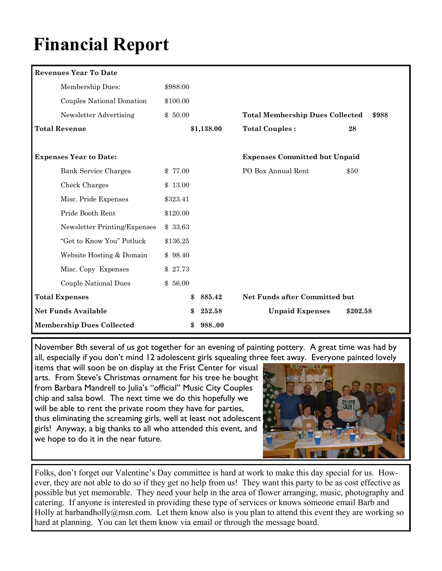## **Financial Report**

| <b>Revenues Year To Date</b>     |          |            |                                        |          |
|----------------------------------|----------|------------|----------------------------------------|----------|
| Membership Dues:                 | \$988.00 |            |                                        |          |
| Couples National Donation        | \$100.00 |            |                                        |          |
| Newsletter Advertising           | \$50.00  |            | <b>Total Membership Dues Collected</b> | \$988    |
| <b>Total Revenue</b>             |          | \$1,138.00 | <b>Total Couples:</b>                  | 28       |
| <b>Expenses Year to Date:</b>    |          |            | <b>Expenses Committed but Unpaid</b>   |          |
| <b>Bank Service Charges</b>      | \$ 77.00 |            | PO Box Annual Rent                     | \$50     |
| Check Charges                    | \$13.00  |            |                                        |          |
| Misc. Pride Expenses             | \$323.41 |            |                                        |          |
| Pride Booth Rent                 | \$120.00 |            |                                        |          |
| Newsletter Printing/Expenses     | \$33.63  |            |                                        |          |
| "Get to Know You" Potluck        | \$136.25 |            |                                        |          |
| Website Hosting & Domain         | \$98.40  |            |                                        |          |
| Misc. Copy Expenses              | \$27.73  |            |                                        |          |
| Couple National Dues             | \$56.00  |            |                                        |          |
| <b>Total Expenses</b>            | \$       | 885.42     | Net Funds after Committed but          |          |
| <b>Net Funds Available</b>       |          | 252.58     | <b>Unpaid Expenses</b>                 | \$202.58 |
| <b>Membership Dues Collected</b> |          | 988.00     |                                        |          |

November 8th several of us got together for an evening of painting pottery. A great time was had by all, especially if you don't mind 12 adolescent girls squealing three feet away. Everyone painted lovely

items that will soon be on display at the Frist Center for visual arts. From Steve's Christmas ornament for his tree he bought from Barbara Mandrell to Julia's "official" Music City Couples chip and salsa bowl. The next time we do this hopefully we will be able to rent the private room they have for parties, thus eliminating the screaming girls, well at least not adolescent girls! Anyway, a big thanks to all who attended this event, and we hope to do it in the near future.



Folks, don't forget our Valentine's Day committee is hard at work to make this day special for us. However, they are not able to do so if they get no help from us! They want this party to be as cost effective as possible but yet memorable. They need your help in the area of flower arranging, music, photography and catering. If anyone is interested in providing these type of services or knows someone email Barb and Holly at barbandholly@msn.com. Let them know also is you plan to attend this event they are working so hard at planning. You can let them know via email or through the message board.